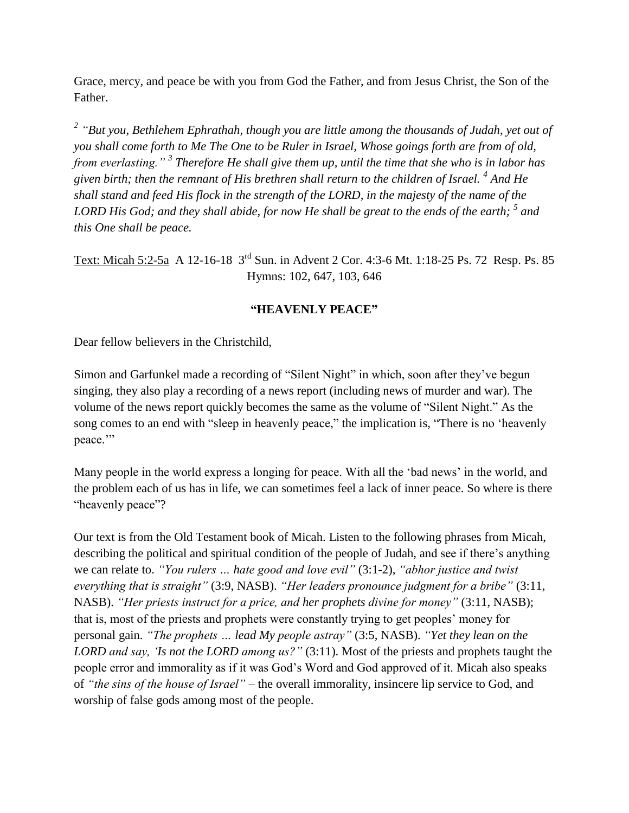Grace, mercy, and peace be with you from God the Father, and from Jesus Christ, the Son of the Father.

*2 "But you, Bethlehem Ephrathah, though you are little among the thousands of Judah, yet out of you shall come forth to Me The One to be Ruler in Israel, Whose goings forth are from of old, from everlasting." <sup>3</sup> Therefore He shall give them up, until the time that she who is in labor has given birth; then the remnant of His brethren shall return to the children of Israel. <sup>4</sup> And He shall stand and feed His flock in the strength of the LORD, in the majesty of the name of the LORD His God; and they shall abide, for now He shall be great to the ends of the earth; <sup>5</sup> and this One shall be peace.*

Text: Micah 5:2-5a A 12-16-18 3<sup>rd</sup> Sun. in Advent 2 Cor. 4:3-6 Mt. 1:18-25 Ps. 72 Resp. Ps. 85 Hymns: 102, 647, 103, 646

## **"HEAVENLY PEACE"**

Dear fellow believers in the Christchild,

Simon and Garfunkel made a recording of "Silent Night" in which, soon after they've begun singing, they also play a recording of a news report (including news of murder and war). The volume of the news report quickly becomes the same as the volume of "Silent Night." As the song comes to an end with "sleep in heavenly peace," the implication is, "There is no 'heavenly peace."

Many people in the world express a longing for peace. With all the 'bad news' in the world, and the problem each of us has in life, we can sometimes feel a lack of inner peace. So where is there "heavenly peace"?

Our text is from the Old Testament book of Micah. Listen to the following phrases from Micah, describing the political and spiritual condition of the people of Judah, and see if there's anything we can relate to. *"You rulers … hate good and love evil"* (3:1-2), *"abhor justice and twist everything that is straight"* (3:9, NASB). *"Her leaders pronounce judgment for a bribe"* (3:11, NASB). *"Her priests instruct for a price, and her prophets divine for money"* (3:11, NASB); that is, most of the priests and prophets were constantly trying to get peoples' money for personal gain. *"The prophets … lead My people astray"* (3:5, NASB). *"Yet they lean on the LORD and say, 'Is not the LORD among us?"* (3:11). Most of the priests and prophets taught the people error and immorality as if it was God's Word and God approved of it. Micah also speaks of *"the sins of the house of Israel"* – the overall immorality, insincere lip service to God, and worship of false gods among most of the people.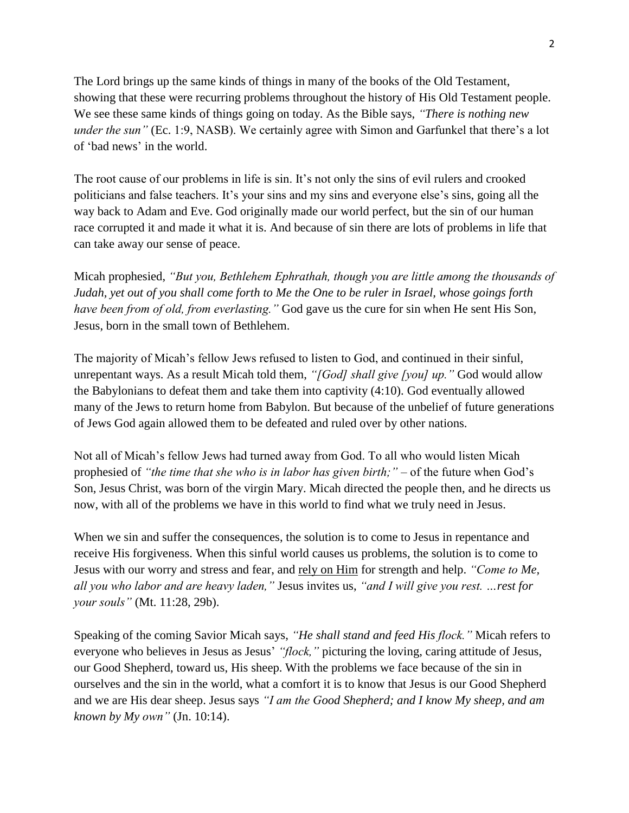The Lord brings up the same kinds of things in many of the books of the Old Testament, showing that these were recurring problems throughout the history of His Old Testament people. We see these same kinds of things going on today. As the Bible says, *"There is nothing new under the sun"* (Ec. 1:9, NASB). We certainly agree with Simon and Garfunkel that there's a lot of 'bad news' in the world.

The root cause of our problems in life is sin. It's not only the sins of evil rulers and crooked politicians and false teachers. It's your sins and my sins and everyone else's sins, going all the way back to Adam and Eve. God originally made our world perfect, but the sin of our human race corrupted it and made it what it is. And because of sin there are lots of problems in life that can take away our sense of peace.

Micah prophesied, *"But you, Bethlehem Ephrathah, though you are little among the thousands of Judah, yet out of you shall come forth to Me the One to be ruler in Israel, whose goings forth have been from of old, from everlasting."* God gave us the cure for sin when He sent His Son, Jesus, born in the small town of Bethlehem.

The majority of Micah's fellow Jews refused to listen to God, and continued in their sinful, unrepentant ways. As a result Micah told them, *"[God] shall give [you] up."* God would allow the Babylonians to defeat them and take them into captivity (4:10). God eventually allowed many of the Jews to return home from Babylon. But because of the unbelief of future generations of Jews God again allowed them to be defeated and ruled over by other nations.

Not all of Micah's fellow Jews had turned away from God. To all who would listen Micah prophesied of *"the time that she who is in labor has given birth;"* – of the future when God's Son, Jesus Christ, was born of the virgin Mary. Micah directed the people then, and he directs us now, with all of the problems we have in this world to find what we truly need in Jesus.

When we sin and suffer the consequences, the solution is to come to Jesus in repentance and receive His forgiveness. When this sinful world causes us problems, the solution is to come to Jesus with our worry and stress and fear, and rely on Him for strength and help. *"Come to Me, all you who labor and are heavy laden,"* Jesus invites us, *"and I will give you rest. …rest for your souls"* (Mt. 11:28, 29b).

Speaking of the coming Savior Micah says, *"He shall stand and feed His flock."* Micah refers to everyone who believes in Jesus as Jesus' *"flock,"* picturing the loving, caring attitude of Jesus, our Good Shepherd, toward us, His sheep. With the problems we face because of the sin in ourselves and the sin in the world, what a comfort it is to know that Jesus is our Good Shepherd and we are His dear sheep. Jesus says *"I am the Good Shepherd; and I know My sheep, and am known by My own"* (Jn. 10:14).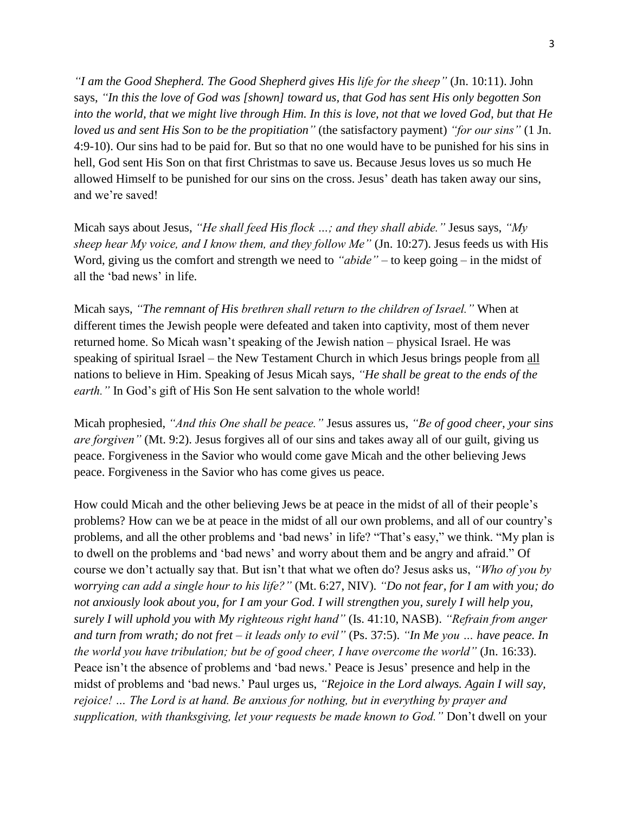*"I am the Good Shepherd. The Good Shepherd gives His life for the sheep"* (Jn. 10:11). John says, *"In this the love of God was [shown] toward us, that God has sent His only begotten Son into the world, that we might live through Him. In this is love, not that we loved God, but that He loved us and sent His Son to be the propitiation"* (the satisfactory payment) *"for our sins"* (1 Jn. 4:9-10). Our sins had to be paid for. But so that no one would have to be punished for his sins in hell, God sent His Son on that first Christmas to save us. Because Jesus loves us so much He allowed Himself to be punished for our sins on the cross. Jesus' death has taken away our sins, and we're saved!

Micah says about Jesus, *"He shall feed His flock …; and they shall abide."* Jesus says, *"My sheep hear My voice, and I know them, and they follow Me"* (Jn. 10:27). Jesus feeds us with His Word, giving us the comfort and strength we need to *"abide"* – to keep going – in the midst of all the 'bad news' in life.

Micah says, *"The remnant of His brethren shall return to the children of Israel."* When at different times the Jewish people were defeated and taken into captivity, most of them never returned home. So Micah wasn't speaking of the Jewish nation – physical Israel. He was speaking of spiritual Israel – the New Testament Church in which Jesus brings people from all nations to believe in Him. Speaking of Jesus Micah says, *"He shall be great to the ends of the earth."* In God's gift of His Son He sent salvation to the whole world!

Micah prophesied, *"And this One shall be peace."* Jesus assures us, *"Be of good cheer, your sins are forgiven"* (Mt. 9:2). Jesus forgives all of our sins and takes away all of our guilt, giving us peace. Forgiveness in the Savior who would come gave Micah and the other believing Jews peace. Forgiveness in the Savior who has come gives us peace.

How could Micah and the other believing Jews be at peace in the midst of all of their people's problems? How can we be at peace in the midst of all our own problems, and all of our country's problems, and all the other problems and 'bad news' in life? "That's easy," we think. "My plan is to dwell on the problems and 'bad news' and worry about them and be angry and afraid." Of course we don't actually say that. But isn't that what we often do? Jesus asks us, *"Who of you by worrying can add a single hour to his life?"* (Mt. 6:27, NIV). *"Do not fear, for I am with you; do not anxiously look about you, for I am your God. I will strengthen you, surely I will help you, surely I will uphold you with My righteous right hand"* (Is. 41:10, NASB). *"Refrain from anger and turn from wrath; do not fret – it leads only to evil"* (Ps. 37:5). *"In Me you … have peace. In the world you have tribulation; but be of good cheer, I have overcome the world"* (Jn. 16:33). Peace isn't the absence of problems and 'bad news.' Peace is Jesus' presence and help in the midst of problems and 'bad news.' Paul urges us, *"Rejoice in the Lord always. Again I will say, rejoice! … The Lord is at hand. Be anxious for nothing, but in everything by prayer and supplication, with thanksgiving, let your requests be made known to God."* Don't dwell on your